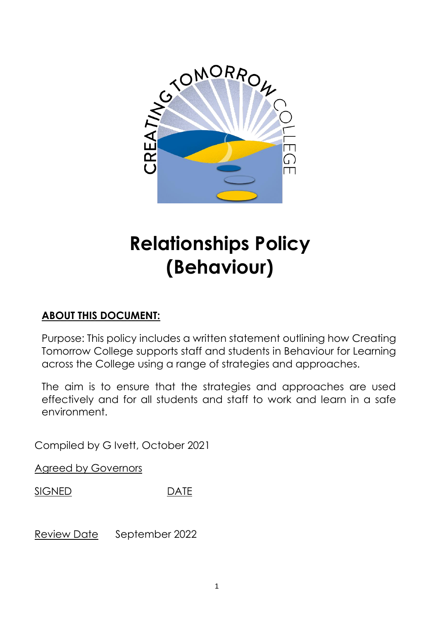

# **Relationships Policy (Behaviour)**

# **ABOUT THIS DOCUMENT:**

Purpose: This policy includes a written statement outlining how Creating Tomorrow College supports staff and students in Behaviour for Learning across the College using a range of strategies and approaches.

The aim is to ensure that the strategies and approaches are used effectively and for all students and staff to work and learn in a safe environment.

Compiled by G Ivett, October 2021

Agreed by Governors

SIGNED DATE

Review Date September 2022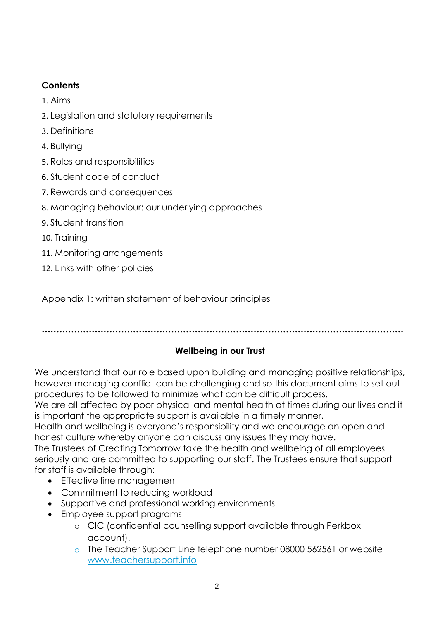## **Contents**

- 1. [Aims](#page-2-0)
- 2. Legislation and statutory requirements
- 3. Definitions
- 4. Bullying
- 5. Roles and [responsibilities](#page-6-0)
- 6. [Student code](#page-8-0) of conduct
- 7. Rewards and [consequences](#page-8-1)
- 8. Managing behaviour: our underlying approaches
- 9. Student [transition](#page-17-0)
- 10. [Training](#page-17-1)
- 11. Monitoring [arrangements](#page-18-0)
- 12. [Links with other](#page-18-1) policies

Appendix 1: written statement of behaviour principles

**……………………………………………………………………………………………………………**

## **Wellbeing in our Trust**

We understand that our role based upon building and managing positive relationships, however managing conflict can be challenging and so this document aims to set out procedures to be followed to minimize what can be difficult process.

We are all affected by poor physical and mental health at times during our lives and it is important the appropriate support is available in a timely manner.

Health and wellbeing is everyone's responsibility and we encourage an open and honest culture whereby anyone can discuss any issues they may have.

The Trustees of Creating Tomorrow take the health and wellbeing of all employees seriously and are committed to supporting our staff. The Trustees ensure that support for staff is available through:

- Effective line management
- Commitment to reducing workload
- Supportive and professional working environments
- Employee support programs
	- o CIC (confidential counselling support available through Perkbox account).
	- o The Teacher Support Line telephone number 08000 562561 or website [www.teachersupport.info](http://www.teachersupport.info/)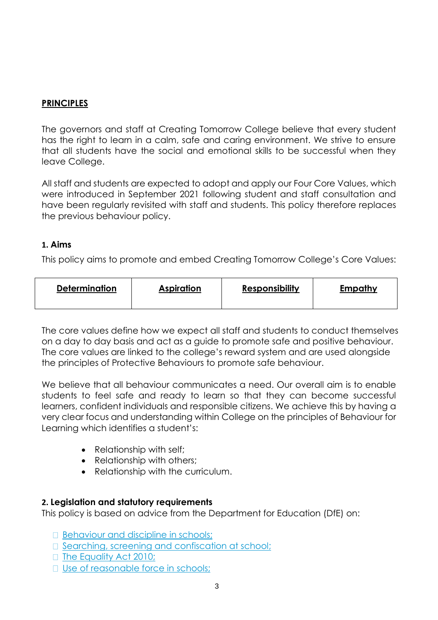## **PRINCIPLES**

The governors and staff at Creating Tomorrow College believe that every student has the right to learn in a calm, safe and caring environment. We strive to ensure that all students have the social and emotional skills to be successful when they leave College.

All staff and students are expected to adopt and apply our Four Core Values, which were introduced in September 2021 following student and staff consultation and have been regularly revisited with staff and students. This policy therefore replaces the previous behaviour policy.

## <span id="page-2-0"></span>**1. Aims**

This policy aims to promote and embed Creating Tomorrow College's Core Values:

| <b>Determination</b> | <b>Aspiration</b> | <b>Responsibility</b> | <b>Empathy</b> |
|----------------------|-------------------|-----------------------|----------------|
|----------------------|-------------------|-----------------------|----------------|

The core values define how we expect all staff and students to conduct themselves on a day to day basis and act as a guide to promote safe and positive behaviour. The core values are linked to the college's reward system and are used alongside the principles of Protective Behaviours to promote safe behaviour.

We believe that all behaviour communicates a need. Our overall aim is to enable students to feel safe and ready to learn so that they can become successful learners, confident individuals and responsible citizens. We achieve this by having a very clear focus and understanding within College on the principles of Behaviour for Learning which identifies a student's:

- Relationship with self;
- Relationship with others;
- Relationship with the curriculum.

## **2. Legislation and statutory requirements**

This policy is based on advice from the Department for Education (DfE) on:

- [Behaviour and discipline in](https://www.gov.uk/government/publications/behaviour-and-discipline-in-schools) schools;
- $\Box$  [Searching, screening and confiscation at](https://www.gov.uk/government/publications/searching-screening-and-confiscation) school;
- □ [The Equality Act](https://www.gov.uk/government/publications/equality-act-2010-advice-for-schools) 2010;
- □ [Use of reasonable force in](https://www.gov.uk/government/publications/use-of-reasonable-force-in-schools) schools;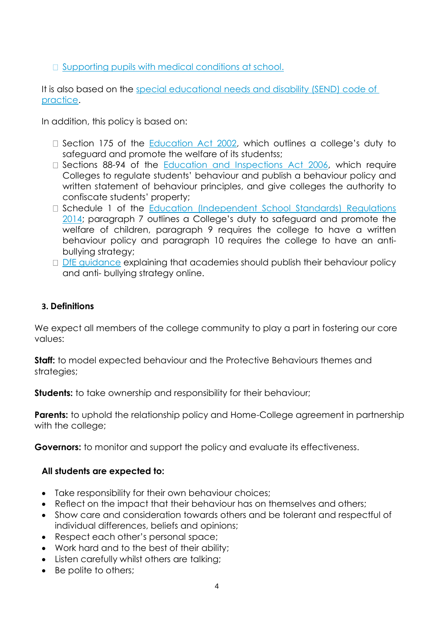$\Box$  [Supporting pupils with medical conditions at](https://www.gov.uk/government/publications/supporting-pupils-at-school-with-medical-conditions--3) school.

It is also based on the [special educational needs and disability \(SEND\) code of](https://www.gov.uk/government/publications/send-code-of-practice-0-to-25)  [practice.](https://www.gov.uk/government/publications/send-code-of-practice-0-to-25)

In addition, this policy is based on:

- $\Box$  Section 175 of the [Education Act 2002,](http://www.legislation.gov.uk/ukpga/2002/32/section/175) which outlines a college's duty to safeguard and promote the welfare of its studentss;
- $\Box$  Sections 88-94 of the [Education and Inspections Act 2006,](http://www.legislation.gov.uk/ukpga/2006/40/section/88) which require Colleges to regulate students' behaviour and publish a behaviour policy and written statement of behaviour principles, and give colleges the authority to confiscate students' property;
- D Schedule 1 of the Education (Independent School Standards) Regulations [2014;](http://www.legislation.gov.uk/uksi/2014/3283/schedule/made) paragraph 7 outlines a College's duty to safeguard and promote the welfare of children, paragraph 9 requires the college to have a written behaviour policy and paragraph 10 requires the college to have an antibullying strategy;
- [DfE guidance](https://www.gov.uk/guidance/what-academies-free-schools-and-colleges-should-publish-online) explaining that academies should publish their behaviour policy and anti- bullying strategy online.

## **3. Definitions**

We expect all members of the college community to play a part in fostering our core values:

**Staff:** to model expected behaviour and the Protective Behaviours themes and strategies;

**Students:** to take ownership and responsibility for their behaviour;

**Parents:** to uphold the relationship policy and Home-College agreement in partnership with the college;

**Governors:** to monitor and support the policy and evaluate its effectiveness.

## **All students are expected to:**

- Take responsibility for their own behaviour choices;
- Reflect on the impact that their behaviour has on themselves and others;
- Show care and consideration towards others and be tolerant and respectful of individual differences, beliefs and opinions;
- Respect each other's personal space;
- Work hard and to the best of their ability;
- Listen carefully whilst others are talking;
- Be polite to others;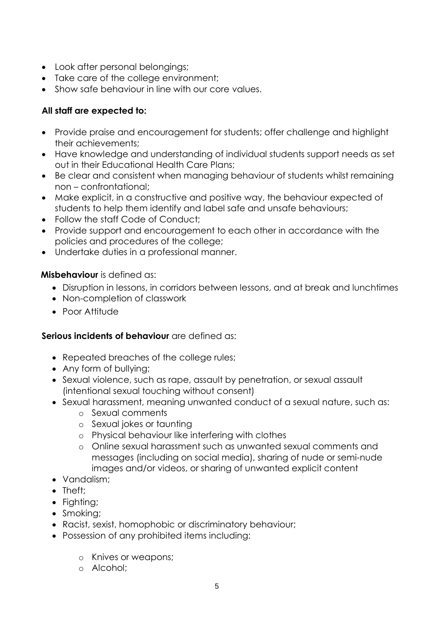- Look after personal belongings;
- Take care of the college environment:
- Show safe behaviour in line with our core values.

## **All staff are expected to:**

- Provide praise and encouragement for students; offer challenge and highlight their achievements;
- Have knowledge and understanding of individual students support needs as set out in their Educational Health Care Plans;
- Be clear and consistent when managing behaviour of students whilst remaining non – confrontational;
- Make explicit, in a constructive and positive way, the behaviour expected of students to help them identify and label safe and unsafe behaviours;
- Follow the staff Code of Conduct:
- Provide support and encouragement to each other in accordance with the policies and procedures of the college;
- Undertake duties in a professional manner.

## **Misbehaviour** is defined as:

- Disruption in lessons, in corridors between lessons, and at break and lunchtimes
- Non-completion of classwork
- Poor Attitude

## **Serious incidents of behaviour** are defined as:

- Repeated breaches of the college rules;
- Any form of bullying;
- Sexual violence, such as rape, assault by penetration, or sexual assault (intentional sexual touching without consent)
- Sexual harassment, meaning unwanted conduct of a sexual nature, such as:
	- o Sexual comments
	- o Sexual jokes or taunting
	- o Physical behaviour like interfering with clothes
	- o Online sexual harassment such as unwanted sexual comments and messages (including on social media), sharing of nude or semi-nude images and/or videos, or sharing of unwanted explicit content
- Vandalism:
- Theft;
- Fighting;
- Smoking;
- Racist, sexist, homophobic or discriminatory behaviour;
- Possession of any prohibited items including:
	- o Knives or weapons;
	- o Alcohol;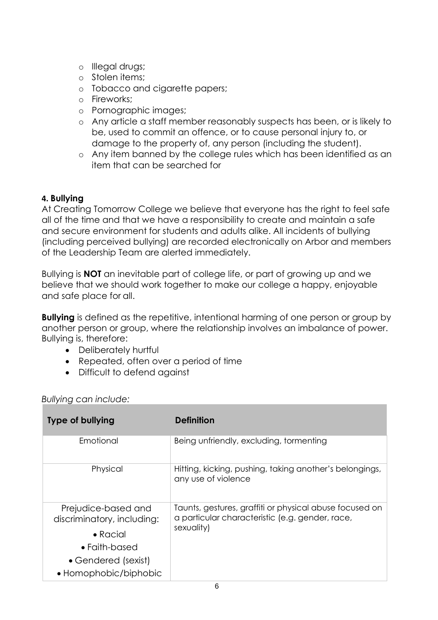- o Illegal drugs;
- o Stolen items;
- o Tobacco and cigarette papers;
- o Fireworks;
- o Pornographic images;
- o Any article a staff member reasonably suspects has been, or is likely to be, used to commit an offence, or to cause personal injury to, or damage to the property of, any person (including the student).
- o Any item banned by the college rules which has been identified as an item that can be searched for

## **4. Bullying**

At Creating Tomorrow College we believe that everyone has the right to feel safe all of the time and that we have a responsibility to create and maintain a safe and secure environment for students and adults alike. All incidents of bullying (including perceived bullying) are recorded electronically on Arbor and members of the Leadership Team are alerted immediately.

Bullying is **NOT** an inevitable part of college life, or part of growing up and we believe that we should work together to make our college a happy, enjoyable and safe place for all.

**Bullying** is defined as the repetitive, intentional harming of one person or group by another person or group, where the relationship involves an imbalance of power. Bullying is, therefore:

- Deliberately hurtful
- Repeated, often over a period of time
- Difficult to defend against

| <b>Type of bullying</b>                           | <b>Definition</b>                                                                                          |  |
|---------------------------------------------------|------------------------------------------------------------------------------------------------------------|--|
| Emotional                                         | Being unfriendly, excluding, formenting                                                                    |  |
| Physical                                          | Hitting, kicking, pushing, taking another's belongings,<br>any use of violence                             |  |
| Prejudice-based and<br>discriminatory, including: | Taunts, gestures, graffiti or physical abuse focused on<br>a particular characteristic (e.g. gender, race, |  |
| $\bullet$ Racial                                  | sexuality)                                                                                                 |  |
| $\bullet$ Faith-based                             |                                                                                                            |  |
| • Gendered (sexist)                               |                                                                                                            |  |
| • Homophobic/biphobic                             |                                                                                                            |  |

*Bullying can include:*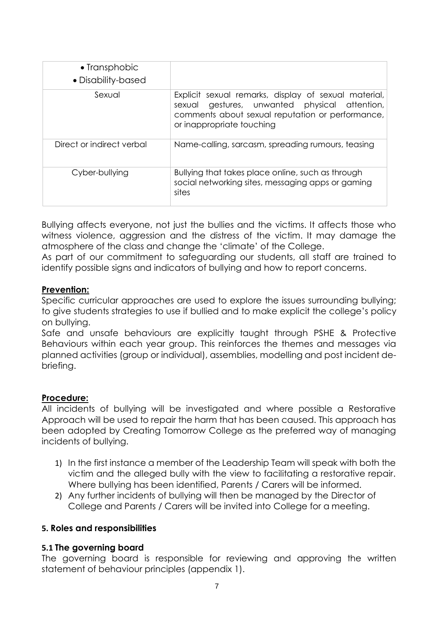| • Transphobic<br>• Disability-based |                                                                                                                                                                                        |
|-------------------------------------|----------------------------------------------------------------------------------------------------------------------------------------------------------------------------------------|
| Sexual                              | Explicit sexual remarks, display of sexual material,<br>sexual gestures, unwanted physical attention,<br>comments about sexual reputation or performance,<br>or inappropriate touching |
| Direct or indirect verbal           | Name-calling, sarcasm, spreading rumours, teasing                                                                                                                                      |
| Cyber-bullying                      | Bullying that takes place online, such as through<br>social networking sites, messaging apps or gaming<br>sites                                                                        |

Bullying affects everyone, not just the bullies and the victims. It affects those who witness violence, aggression and the distress of the victim. It may damage the atmosphere of the class and change the 'climate' of the College.

As part of our commitment to safeguarding our students, all staff are trained to identify possible signs and indicators of bullying and how to report concerns.

## **Prevention:**

Specific curricular approaches are used to explore the issues surrounding bullying; to give students strategies to use if bullied and to make explicit the college's policy on bullying.

Safe and unsafe behaviours are explicitly taught through PSHE & Protective Behaviours within each year group. This reinforces the themes and messages via planned activities (group or individual), assemblies, modelling and post incident debriefing.

## **Procedure:**

All incidents of bullying will be investigated and where possible a Restorative Approach will be used to repair the harm that has been caused. This approach has been adopted by Creating Tomorrow College as the preferred way of managing incidents of bullying.

- 1) In the first instance a member of the Leadership Team will speak with both the victim and the alleged bully with the view to facilitating a restorative repair. Where bullying has been identified, Parents / Carers will be informed.
- 2) Any further incidents of bullying will then be managed by the Director of College and Parents / Carers will be invited into College for a meeting.

## <span id="page-6-0"></span>**5. Roles and responsibilities**

## **5.1 The governing board**

The governing board is responsible for reviewing and approving the written statement of behaviour principles (appendix 1).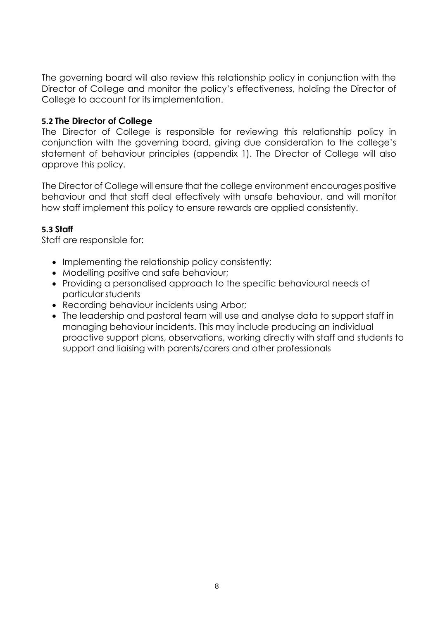The governing board will also review this relationship policy in conjunction with the Director of College and monitor the policy's effectiveness, holding the Director of College to account for its implementation.

## **5.2 The Director of College**

The Director of College is responsible for reviewing this relationship policy in conjunction with the governing board, giving due consideration to the college's statement of behaviour principles (appendix 1). The Director of College will also approve this policy.

The Director of College will ensure that the college environment encourages positive behaviour and that staff deal effectively with unsafe behaviour, and will monitor how staff implement this policy to ensure rewards are applied consistently.

## **5.3 Staff**

Staff are responsible for:

- Implementing the relationship policy consistently;
- Modelling positive and safe behaviour:
- Providing a personalised approach to the specific behavioural needs of particular students
- Recording behaviour incidents using Arbor;
- The leadership and pastoral team will use and analyse data to support staff in managing behaviour incidents. This may include producing an individual proactive support plans, observations, working directly with staff and students to support and liaising with parents/carers and other professionals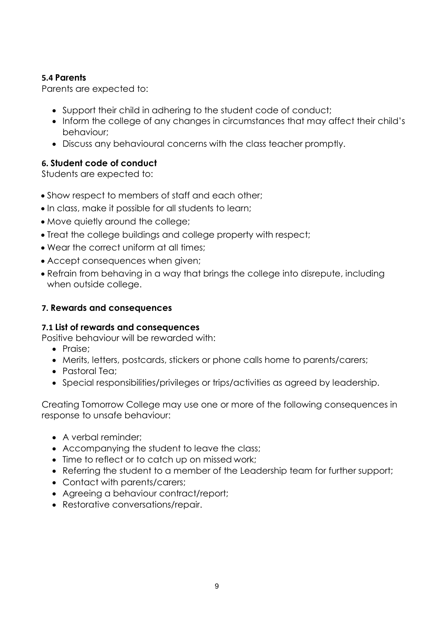## **5.4 Parents**

Parents are expected to:

- Support their child in adhering to the student code of conduct;
- Inform the college of any changes in circumstances that may affect their child's behaviour;
- Discuss any behavioural concerns with the class teacher promptly.

## <span id="page-8-0"></span>**6. Student code of conduct**

Students are expected to:

- Show respect to members of staff and each other;
- In class, make it possible for all students to learn;
- Move quietly around the college;
- Treat the college buildings and college property with respect;
- Wear the correct uniform at all times;
- Accept consequences when given;
- Refrain from behaving in a way that brings the college into disrepute, including when outside college.

## <span id="page-8-1"></span>**7. Rewards and consequences**

## **7.1 List of rewards and consequences**

Positive behaviour will be rewarded with:

- Praise:
- Merits, letters, postcards, stickers or phone calls home to parents/carers;
- Pastoral Tea;
- Special responsibilities/privileges or trips/activities as agreed by leadership.

Creating Tomorrow College may use one or more of the following consequences in response to unsafe behaviour:

- A verbal reminder:
- Accompanying the student to leave the class;
- Time to reflect or to catch up on missed work;
- Referring the student to a member of the Leadership team for further support;
- Contact with parents/carers;
- Agreeing a behaviour contract/report;
- Restorative conversations/repair.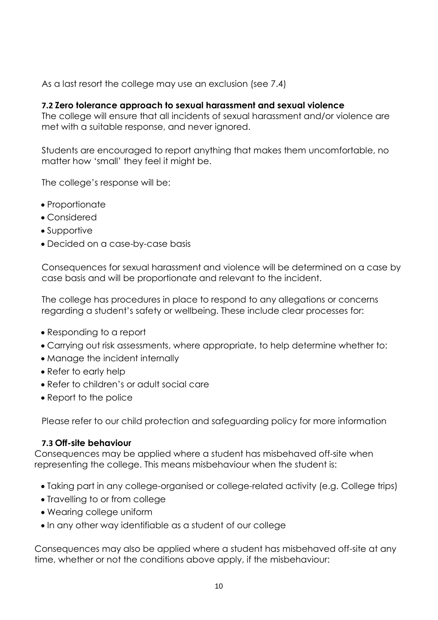As a last resort the college may use an exclusion (see 7.4)

## **7.2 Zero tolerance approach to sexual harassment and sexual violence**

The college will ensure that all incidents of sexual harassment and/or violence are met with a suitable response, and never ignored.

Students are encouraged to report anything that makes them uncomfortable, no matter how 'small' they feel it might be.

The college's response will be:

- Proportionate
- Considered
- Supportive
- Decided on a case-by-case basis

Consequences for sexual harassment and violence will be determined on a case by case basis and will be proportionate and relevant to the incident.

The college has procedures in place to respond to any allegations or concerns regarding a student's safety or wellbeing. These include clear processes for:

- Responding to a report
- Carrying out risk assessments, where appropriate, to help determine whether to:
- Manage the incident internally
- Refer to early help
- Refer to children's or adult social care
- Report to the police

Please refer to our child protection and safeguarding policy for more information

## **7.3 Off-site behaviour**

Consequences may be applied where a student has misbehaved off-site when representing the college. This means misbehaviour when the student is:

- Taking part in any college-organised or college-related activity (e.g. College trips)
- Travelling to or from college
- Wearing college uniform
- In any other way identifiable as a student of our college

Consequences may also be applied where a student has misbehaved off-site at any time, whether or not the conditions above apply, if the misbehaviour: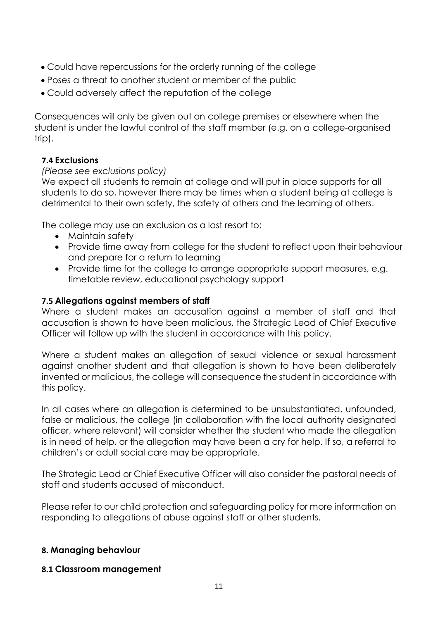- Could have repercussions for the orderly running of the college
- Poses a threat to another student or member of the public
- Could adversely affect the reputation of the college

Consequences will only be given out on college premises or elsewhere when the student is under the lawful control of the staff member (e.g. on a college-organised trip).

## **7.4 Exclusions**

## *(Please see exclusions policy)*

We expect all students to remain at college and will put in place supports for all students to do so, however there may be times when a student being at college is detrimental to their own safety, the safety of others and the learning of others.

The college may use an exclusion as a last resort to:

- Maintain safety
- Provide time away from college for the student to reflect upon their behaviour and prepare for a return to learning
- Provide time for the college to arrange appropriate support measures, e.g. timetable review, educational psychology support

## **7.5 Allegations against members of staff**

Where a student makes an accusation against a member of staff and that accusation is shown to have been malicious, the Strategic Lead of Chief Executive Officer will follow up with the student in accordance with this policy.

Where a student makes an allegation of sexual violence or sexual harassment against another student and that allegation is shown to have been deliberately invented or malicious, the college will consequence the student in accordance with this policy.

In all cases where an allegation is determined to be unsubstantiated, unfounded, false or malicious, the college (in collaboration with the local authority designated officer, where relevant) will consider whether the student who made the allegation is in need of help, or the allegation may have been a cry for help. If so, a referral to children's or adult social care may be appropriate.

The Strategic Lead or Chief Executive Officer will also consider the pastoral needs of staff and students accused of misconduct.

Please refer to our child protection and safeguarding policy for more information on responding to allegations of abuse against staff or other students.

## **8. Managing behaviour**

## **8.1 Classroom management**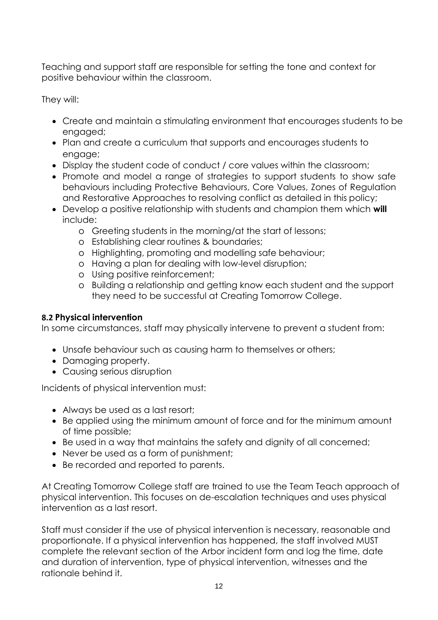Teaching and support staff are responsible for setting the tone and context for positive behaviour within the classroom.

They will:

- Create and maintain a stimulating environment that encourages students to be engaged;
- Plan and create a curriculum that supports and encourages students to engage;
- Display the student code of conduct / core values within the classroom;
- Promote and model a range of strategies to support students to show safe behaviours including Protective Behaviours, Core Values, Zones of Regulation and Restorative Approaches to resolving conflict as detailed in this policy;
- Develop a positive relationship with students and champion them which **will** include:
	- o Greeting students in the morning/at the start of lessons;
	- o Establishing clear routines & boundaries;
	- o Highlighting, promoting and modelling safe behaviour;
	- o Having a plan for dealing with low-level disruption;
	- o Using positive reinforcement;
	- o Building a relationship and getting know each student and the support they need to be successful at Creating Tomorrow College.

## **8.2 Physical intervention**

In some circumstances, staff may physically intervene to prevent a student from:

- Unsafe behaviour such as causing harm to themselves or others;
- Damaging property.
- Causing serious disruption

Incidents of physical intervention must:

- Always be used as a last resort;
- Be applied using the minimum amount of force and for the minimum amount of time possible;
- Be used in a way that maintains the safety and dignity of all concerned;
- Never be used as a form of punishment;
- Be recorded and reported to parents.

At Creating Tomorrow College staff are trained to use the Team Teach approach of physical intervention. This focuses on de-escalation techniques and uses physical intervention as a last resort.

Staff must consider if the use of physical intervention is necessary, reasonable and proportionate. If a physical intervention has happened, the staff involved MUST complete the relevant section of the Arbor incident form and log the time, date and duration of intervention, type of physical intervention, witnesses and the rationale behind it.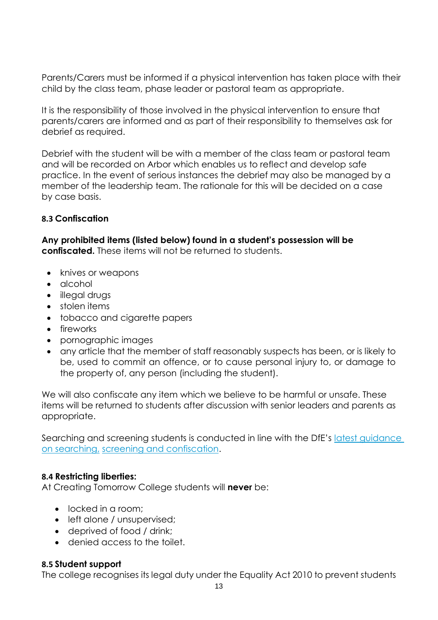Parents/Carers must be informed if a physical intervention has taken place with their child by the class team, phase leader or pastoral team as appropriate.

It is the responsibility of those involved in the physical intervention to ensure that parents/carers are informed and as part of their responsibility to themselves ask for debrief as required.

Debrief with the student will be with a member of the class team or pastoral team and will be recorded on Arbor which enables us to reflect and develop safe practice. In the event of serious instances the debrief may also be managed by a member of the leadership team. The rationale for this will be decided on a case by case basis.

## **8.3 Confiscation**

**Any prohibited items (listed below) found in a student's possession will be confiscated.** These items will not be returned to students.

- knives or weapons
- alcohol
- illegal drugs
- stolen items
- tobacco and cigarette papers
- fireworks
- pornographic images
- any article that the member of staff reasonably suspects has been, or is likely to be, used to commit an offence, or to cause personal injury to, or damage to the property of, any person (including the student).

We will also confiscate any item which we believe to be harmful or unsafe. These items will be returned to students after discussion with senior leaders and parents as appropriate.

Searching and screening students is conducted in line with the DfE's latest guidance [on searching,](https://www.gov.uk/government/publications/searching-screening-and-confiscation) [screening and confiscation.](https://www.gov.uk/government/publications/searching-screening-and-confiscation)

## **8.4 Restricting liberties:**

At Creating Tomorrow College students will **never** be:

- locked in a room:
- left alone / unsupervised;
- deprived of food / drink;
- denied access to the toilet.

## **8.5 Student support**

The college recognises its legal duty under the Equality Act 2010 to prevent students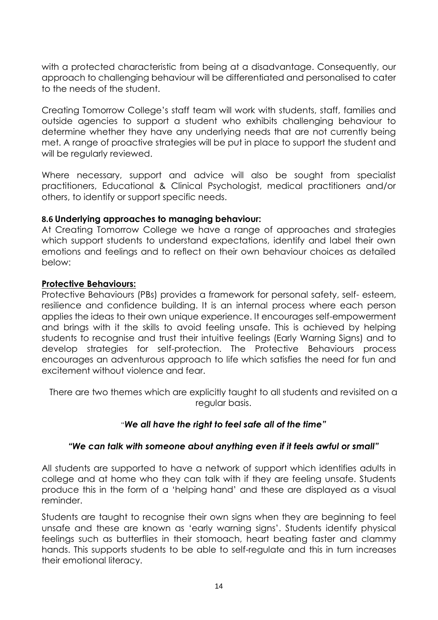with a protected characteristic from being at a disadvantage. Consequently, our approach to challenging behaviour will be differentiated and personalised to cater to the needs of the student.

Creating Tomorrow College's staff team will work with students, staff, families and outside agencies to support a student who exhibits challenging behaviour to determine whether they have any underlying needs that are not currently being met. A range of proactive strategies will be put in place to support the student and will be regularly reviewed.

Where necessary, support and advice will also be sought from specialist practitioners, Educational & Clinical Psychologist, medical practitioners and/or others, to identify or support specific needs.

## **8.6 Underlying approaches to managing behaviour:**

At Creating Tomorrow College we have a range of approaches and strategies which support students to understand expectations, identify and label their own emotions and feelings and to reflect on their own behaviour choices as detailed below:

#### **Protective Behaviours:**

Protective Behaviours (PBs) provides a framework for personal safety, self- esteem, resilience and confidence building. It is an internal process where each person applies the ideas to their own unique experience. It encourages self-empowerment and brings with it the skills to avoid feeling unsafe. This is achieved by helping students to recognise and trust their intuitive feelings (Early Warning Signs) and to develop strategies for self-protection. The Protective Behaviours process encourages an adventurous approach to life which satisfies the need for fun and excitement without violence and fear.

There are two themes which are explicitly taught to all students and revisited on a regular basis.

## "*We all have the right to feel safe all of the time"*

## *"We can talk with someone about anything even if it feels awful or small"*

All students are supported to have a network of support which identifies adults in college and at home who they can talk with if they are feeling unsafe. Students produce this in the form of a 'helping hand' and these are displayed as a visual reminder.

Students are taught to recognise their own signs when they are beginning to feel unsafe and these are known as 'early warning signs'. Students identify physical feelings such as butterflies in their stomoach, heart beating faster and clammy hands. This supports students to be able to self-regulate and this in turn increases their emotional literacy.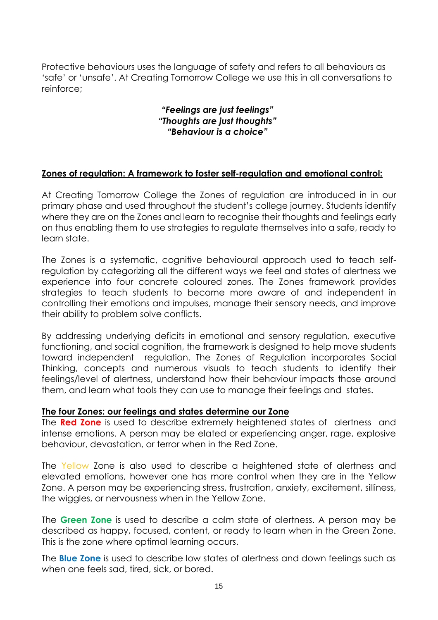Protective behaviours uses the language of safety and refers to all behaviours as 'safe' or 'unsafe'. At Creating Tomorrow College we use this in all conversations to reinforce;

## *"Feelings are just feelings" "Thoughts are just thoughts" "Behaviour is a choice"*

## **Zones of regulation: A framework to foster self-regulation and emotional control:**

At Creating Tomorrow College the Zones of regulation are introduced in in our primary phase and used throughout the student's college journey. Students identify where they are on the Zones and learn to recognise their thoughts and feelings early on thus enabling them to use strategies to regulate themselves into a safe, ready to learn state.

The Zones is a systematic, cognitive behavioural approach used to teach selfregulation by categorizing all the different ways we feel and states of alertness we experience into four concrete coloured zones. The Zones framework provides strategies to teach students to become more aware of and independent in controlling their emotions and impulses, manage their sensory needs, and improve their ability to problem solve conflicts.

By addressing underlying deficits in emotional and sensory regulation, executive functioning, and social cognition, the framework is designed to help move students toward independent regulation. The Zones of Regulation incorporates Social Thinking, concepts and numerous visuals to teach students to identify their feelings/level of alertness, understand how their behaviour impacts those around them, and learn what tools they can use to manage their feelings and states.

#### **The four Zones: our feelings and states determine our Zone**

The **Red Zone** is used to describe extremely heightened states of alertness and intense emotions. A person may be elated or experiencing anger, rage, explosive behaviour, devastation, or terror when in the Red Zone.

The Yellow Zone is also used to describe a heightened state of alertness and elevated emotions, however one has more control when they are in the Yellow Zone. A person may be experiencing stress, frustration, anxiety, excitement, silliness, the wiggles, or nervousness when in the Yellow Zone.

The **Green Zone** is used to describe a calm state of alertness. A person may be described as happy, focused, content, or ready to learn when in the Green Zone. This is the zone where optimal learning occurs.

The **Blue Zone** is used to describe low states of alertness and down feelings such as when one feels sad, tired, sick, or bored.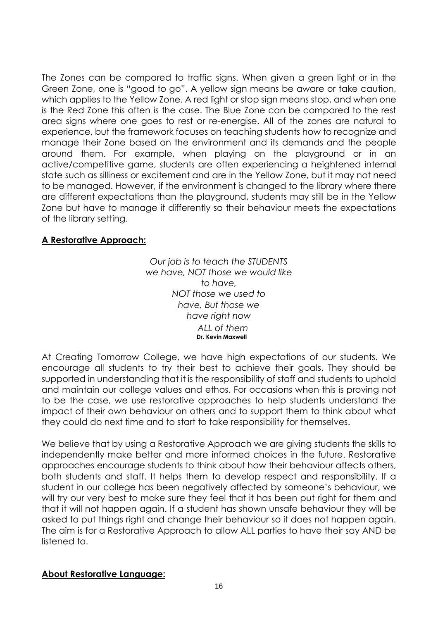The Zones can be compared to traffic signs. When given a green light or in the Green Zone, one is "good to go". A yellow sign means be aware or take caution, which applies to the Yellow Zone. A red light or stop sign means stop, and when one is the Red Zone this often is the case. The Blue Zone can be compared to the rest area signs where one goes to rest or re-energise. All of the zones are natural to experience, but the framework focuses on teaching students how to recognize and manage their Zone based on the environment and its demands and the people around them. For example, when playing on the playground or in an active/competitive game, students are often experiencing a heightened internal state such as silliness or excitement and are in the Yellow Zone, but it may not need to be managed. However, if the environment is changed to the library where there are different expectations than the playground, students may still be in the Yellow Zone but have to manage it differently so their behaviour meets the expectations of the library setting.

## **A Restorative Approach:**

*Our job is to teach the STUDENTS we have, NOT those we would like to have, NOT those we used to have, But those we have right now ALL of them* **Dr. Kevin Maxwell**

At Creating Tomorrow College, we have high expectations of our students. We encourage all students to try their best to achieve their goals. They should be supported in understanding that it is the responsibility of staff and students to uphold and maintain our college values and ethos. For occasions when this is proving not to be the case, we use restorative approaches to help students understand the impact of their own behaviour on others and to support them to think about what they could do next time and to start to take responsibility for themselves.

We believe that by using a Restorative Approach we are giving students the skills to independently make better and more informed choices in the future. Restorative approaches encourage students to think about how their behaviour affects others, both students and staff. It helps them to develop respect and responsibility. If a student in our college has been negatively affected by someone's behaviour, we will try our very best to make sure they feel that it has been put right for them and that it will not happen again. If a student has shown unsafe behaviour they will be asked to put things right and change their behaviour so it does not happen again. The aim is for a Restorative Approach to allow ALL parties to have their say AND be listened to.

## **About Restorative Language:**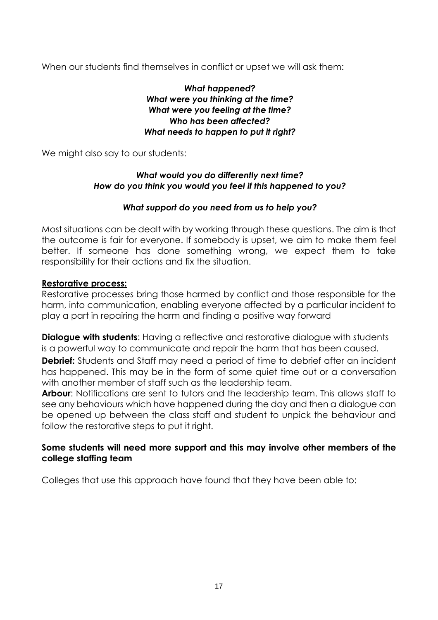When our students find themselves in conflict or upset we will ask them:

## *What happened? What were you thinking at the time? What were you feeling at the time? Who has been affected? What needs to happen to put it right?*

We might also say to our students:

## *What would you do differently next time? How do you think you would you feel if this happened to you?*

#### *What support do you need from us to help you?*

Most situations can be dealt with by working through these questions. The aim is that the outcome is fair for everyone. If somebody is upset, we aim to make them feel better. If someone has done something wrong, we expect them to take responsibility for their actions and fix the situation.

#### **Restorative process:**

Restorative processes bring those harmed by conflict and those responsible for the harm, into communication, enabling everyone affected by a particular incident to play a part in repairing the harm and finding a positive way forward

**Dialogue with students:** Having a reflective and restorative dialogue with students is a powerful way to communicate and repair the harm that has been caused.

**Debrief:** Students and Staff may need a period of time to debrief after an incident has happened. This may be in the form of some quiet time out or a conversation with another member of staff such as the leadership team.

**Arbour:** Notifications are sent to tutors and the leadership team. This allows staff to see any behaviours which have happened during the day and then a dialogue can be opened up between the class staff and student to unpick the behaviour and follow the restorative steps to put it right.

## **Some students will need more support and this may involve other members of the college staffing team**

Colleges that use this approach have found that they have been able to: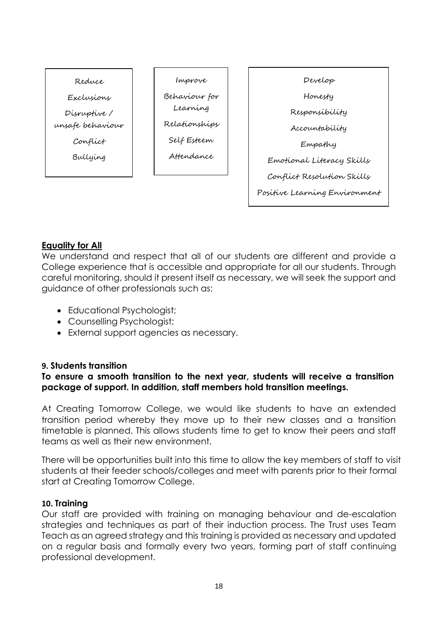

## **Equality for All**

We understand and respect that all of our students are different and provide a College experience that is accessible and appropriate for all our students. Through careful monitoring, should it present itself as necessary, we will seek the support and guidance of other professionals such as:

- Educational Psychologist;
- Counselling Psychologist;
- External support agencies as necessary.

## <span id="page-17-0"></span>**9. Students transition**

## **To ensure a smooth transition to the next year, students will receive a transition package of support. In addition, staff members hold transition meetings.**

At Creating Tomorrow College, we would like students to have an extended transition period whereby they move up to their new classes and a transition timetable is planned. This allows students time to get to know their peers and staff teams as well as their new environment.

There will be opportunities built into this time to allow the key members of staff to visit students at their feeder schools/colleges and meet with parents prior to their formal start at Creating Tomorrow College.

## <span id="page-17-1"></span>**10. Training**

Our staff are provided with training on managing behaviour and de-escalation strategies and techniques as part of their induction process. The Trust uses Team Teach as an agreed strategy and this training is provided as necessary and updated on a regular basis and formally every two years, forming part of staff continuing professional development.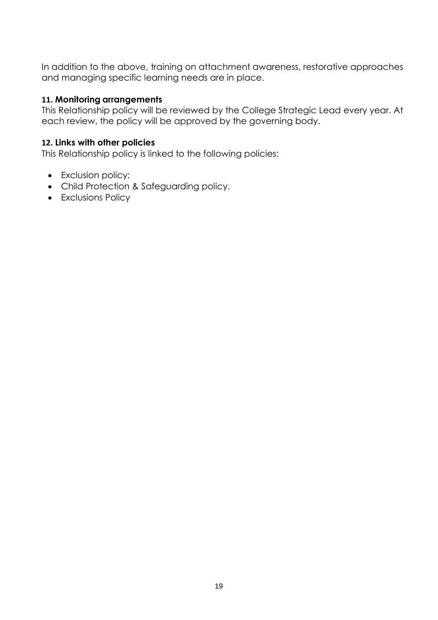In addition to the above, training on attachment awareness, restorative approaches and managing specific learning needs are in place.

#### <span id="page-18-0"></span>**11. Monitoring arrangements**

This Relationship policy will be reviewed by the College Strategic Lead every year. At each review, the policy will be approved by the governing body.

#### <span id="page-18-1"></span>**12. Links with other policies**

This Relationship policy is linked to the following policies:

- Exclusion policy;
- Child Protection & Safeguarding policy.
- Exclusions Policy